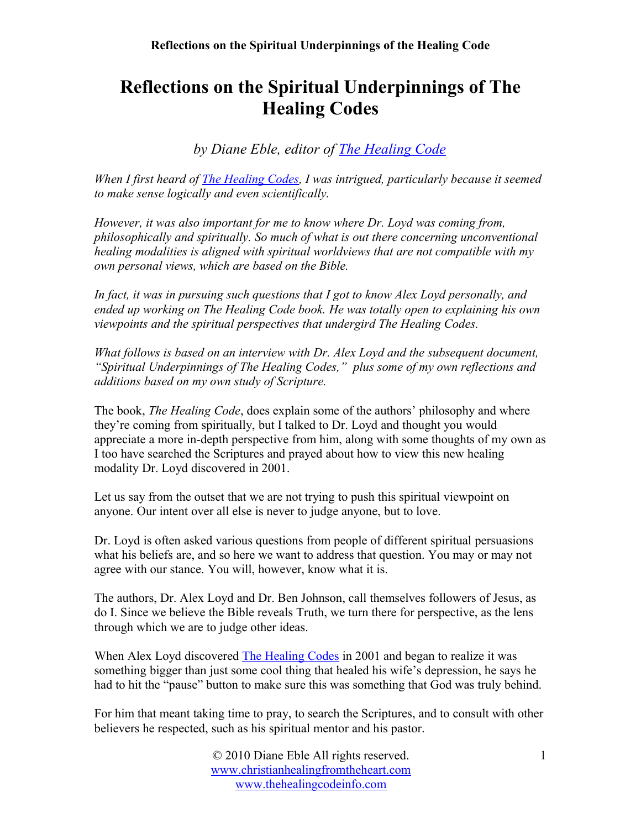*by Diane Eble, editor of [The Healing Code](http://www.thehealingcodeinfo.com/)*

*When I first heard of [The Healing Codes,](http://www.newhealingmode.com/) I was intrigued, particularly because it seemed to make sense logically and even scientifically.*

*However, it was also important for me to know where Dr. Loyd was coming from, philosophically and spiritually. So much of what is out there concerning unconventional healing modalities is aligned with spiritual worldviews that are not compatible with my own personal views, which are based on the Bible.* 

*In fact, it was in pursuing such questions that I got to know Alex Loyd personally, and ended up working on The Healing Code book. He was totally open to explaining his own viewpoints and the spiritual perspectives that undergird The Healing Codes.*

*What follows is based on an interview with Dr. Alex Loyd and the subsequent document, "Spiritual Underpinnings of The Healing Codes," plus some of my own reflections and additions based on my own study of Scripture.*

The book, *The Healing Code*, does explain some of the authors' philosophy and where they're coming from spiritually, but I talked to Dr. Loyd and thought you would appreciate a more in-depth perspective from him, along with some thoughts of my own as I too have searched the Scriptures and prayed about how to view this new healing modality Dr. Loyd discovered in 2001.

Let us say from the outset that we are not trying to push this spiritual viewpoint on anyone. Our intent over all else is never to judge anyone, but to love.

Dr. Loyd is often asked various questions from people of different spiritual persuasions what his beliefs are, and so here we want to address that question. You may or may not agree with our stance. You will, however, know what it is.

The authors, Dr. Alex Loyd and Dr. Ben Johnson, call themselves followers of Jesus, as do I. Since we believe the Bible reveals Truth, we turn there for perspective, as the lens through which we are to judge other ideas.

When Alex Loyd discovered [The Healing Codes](http://www.newhealingmode.com/) in 2001 and began to realize it was something bigger than just some cool thing that healed his wife's depression, he says he had to hit the "pause" button to make sure this was something that God was truly behind.

For him that meant taking time to pray, to search the Scriptures, and to consult with other believers he respected, such as his spiritual mentor and his pastor.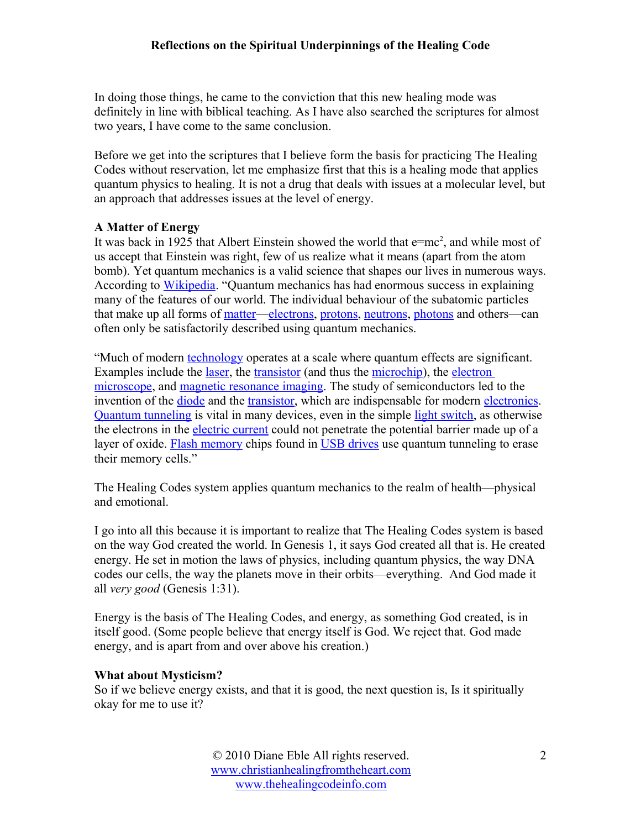In doing those things, he came to the conviction that this new healing mode was definitely in line with biblical teaching. As I have also searched the scriptures for almost two years, I have come to the same conclusion.

Before we get into the scriptures that I believe form the basis for practicing The Healing Codes without reservation, let me emphasize first that this is a healing mode that applies quantum physics to healing. It is not a drug that deals with issues at a molecular level, but an approach that addresses issues at the level of energy.

## **A Matter of Energy**

It was back in 1925 that Albert Einstein showed the world that  $e=mc^2$ , and while most of us accept that Einstein was right, few of us realize what it means (apart from the atom bomb). Yet quantum mechanics is a valid science that shapes our lives in numerous ways. According to [Wikipedia.](http://en.wikipedia.org/wiki/Quantum_mechanics) "Quantum mechanics has had enormous success in explaining many of the features of our world. The individual behaviour of the subatomic particles that make up all forms of [matter](http://en.wikipedia.org/wiki/Matter)[—electrons,](http://en.wikipedia.org/wiki/Electron) [protons,](http://en.wikipedia.org/wiki/Proton) [neutrons,](http://en.wikipedia.org/wiki/Neutron) [photons](http://en.wikipedia.org/wiki/Photon) and others—can often only be satisfactorily described using quantum mechanics.

"Much of modern [technology](http://en.wikipedia.org/wiki/Technology) operates at a scale where quantum effects are significant. Examples include the [laser,](http://en.wikipedia.org/wiki/Laser) the [transistor](http://en.wikipedia.org/wiki/Transistor) (and thus the [microchip\)](http://en.wikipedia.org/wiki/Integrated_circuit), the [electron](http://en.wikipedia.org/wiki/Electron_microscope) [microscope,](http://en.wikipedia.org/wiki/Electron_microscope) and [magnetic resonance imaging.](http://en.wikipedia.org/wiki/Magnetic_Resonance_Imaging) The study of semiconductors led to the invention of the [diode](http://en.wikipedia.org/wiki/Diode) and the [transistor,](http://en.wikipedia.org/wiki/Transistor) which are indispensable for modern [electronics.](http://en.wikipedia.org/wiki/Electronics) [Quantum tunneling](http://en.wikipedia.org/wiki/Quantum_tunneling) is vital in many devices, even in the simple [light switch,](http://en.wikipedia.org/wiki/Light_switch) as otherwise the electrons in the [electric current](http://en.wikipedia.org/wiki/Electric_current) could not penetrate the potential barrier made up of a layer of oxide. [Flash memory](http://en.wikipedia.org/wiki/Flash_memory) chips found in [USB drives](http://en.wikipedia.org/wiki/USB_drive) use quantum tunneling to erase their memory cells."

The Healing Codes system applies quantum mechanics to the realm of health—physical and emotional.

I go into all this because it is important to realize that The Healing Codes system is based on the way God created the world. In Genesis 1, it says God created all that is. He created energy. He set in motion the laws of physics, including quantum physics, the way DNA codes our cells, the way the planets move in their orbits—everything. And God made it all *very good* (Genesis 1:31).

Energy is the basis of The Healing Codes, and energy, as something God created, is in itself good. (Some people believe that energy itself is God. We reject that. God made energy, and is apart from and over above his creation.)

## **What about Mysticism?**

So if we believe energy exists, and that it is good, the next question is, Is it spiritually okay for me to use it?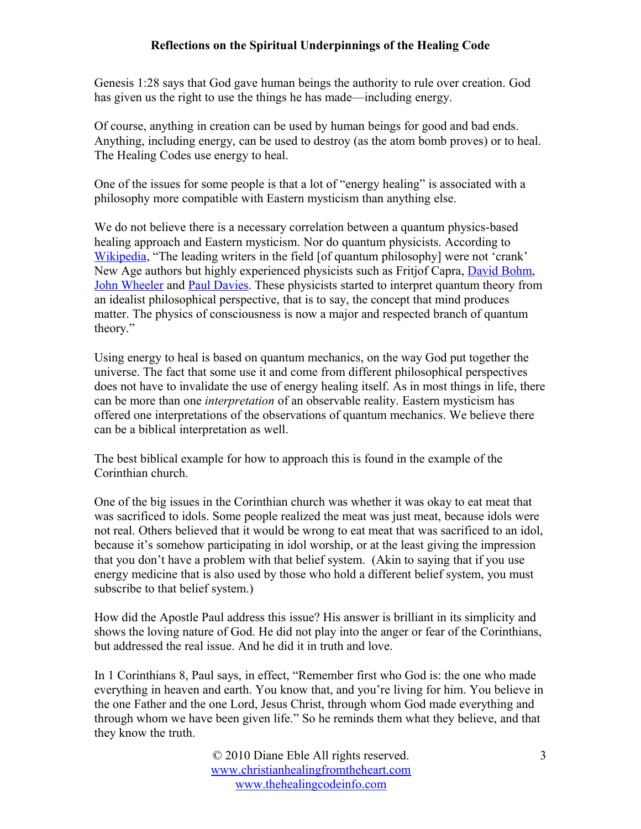Genesis 1:28 says that God gave human beings the authority to rule over creation. God has given us the right to use the things he has made—including energy.

Of course, anything in creation can be used by human beings for good and bad ends. Anything, including energy, can be used to destroy (as the atom bomb proves) or to heal. The Healing Codes use energy to heal.

One of the issues for some people is that a lot of "energy healing" is associated with a philosophy more compatible with Eastern mysticism than anything else.

We do not believe there is a necessary correlation between a quantum physics-based healing approach and Eastern mysticism. Nor do quantum physicists. According to [Wikipedia,](http://en.wikipedia.org/wiki/Quantum_mysticism) "The leading writers in the field [of quantum philosophy] were not 'crank' New Age authors but highly experienced physicists such as Fritjof Capra, **David Bohm**, [John Wheeler](http://en.wikipedia.org/wiki/John_Archibald_Wheeler) and [Paul Davies.](http://en.wikipedia.org/wiki/Paul_Davies) These physicists started to interpret quantum theory from an idealist philosophical perspective, that is to say, the concept that mind produces matter. The physics of consciousness is now a major and respected branch of quantum theory."

Using energy to heal is based on quantum mechanics, on the way God put together the universe. The fact that some use it and come from different philosophical perspectives does not have to invalidate the use of energy healing itself. As in most things in life, there can be more than one *interpretation* of an observable reality. Eastern mysticism has offered one interpretations of the observations of quantum mechanics. We believe there can be a biblical interpretation as well.

The best biblical example for how to approach this is found in the example of the Corinthian church.

One of the big issues in the Corinthian church was whether it was okay to eat meat that was sacrificed to idols. Some people realized the meat was just meat, because idols were not real. Others believed that it would be wrong to eat meat that was sacrificed to an idol, because it's somehow participating in idol worship, or at the least giving the impression that you don't have a problem with that belief system. (Akin to saying that if you use energy medicine that is also used by those who hold a different belief system, you must subscribe to that belief system.)

How did the Apostle Paul address this issue? His answer is brilliant in its simplicity and shows the loving nature of God. He did not play into the anger or fear of the Corinthians, but addressed the real issue. And he did it in truth and love.

In 1 Corinthians 8, Paul says, in effect, "Remember first who God is: the one who made everything in heaven and earth. You know that, and you're living for him. You believe in the one Father and the one Lord, Jesus Christ, through whom God made everything and through whom we have been given life." So he reminds them what they believe, and that they know the truth.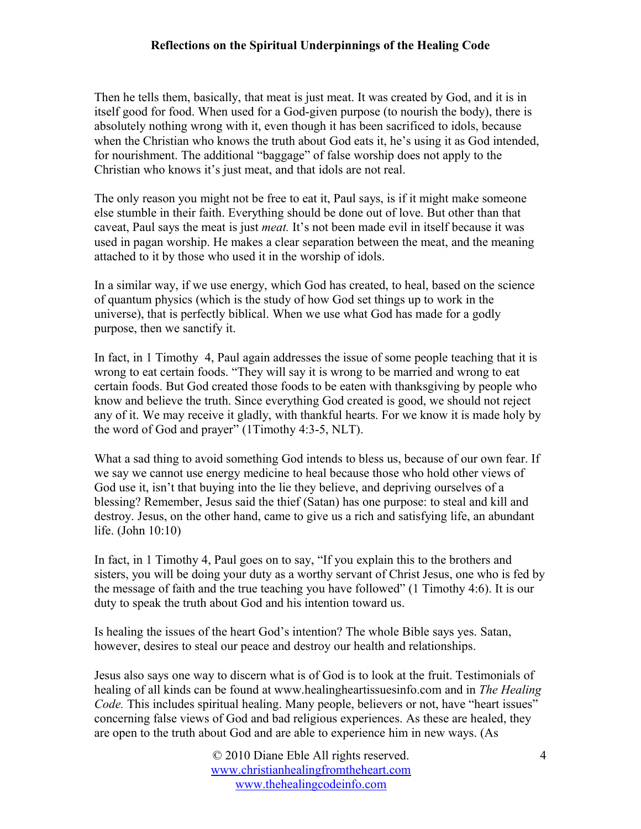Then he tells them, basically, that meat is just meat. It was created by God, and it is in itself good for food. When used for a God-given purpose (to nourish the body), there is absolutely nothing wrong with it, even though it has been sacrificed to idols, because when the Christian who knows the truth about God eats it, he's using it as God intended, for nourishment. The additional "baggage" of false worship does not apply to the Christian who knows it's just meat, and that idols are not real.

The only reason you might not be free to eat it, Paul says, is if it might make someone else stumble in their faith. Everything should be done out of love. But other than that caveat, Paul says the meat is just *meat.* It's not been made evil in itself because it was used in pagan worship. He makes a clear separation between the meat, and the meaning attached to it by those who used it in the worship of idols.

In a similar way, if we use energy, which God has created, to heal, based on the science of quantum physics (which is the study of how God set things up to work in the universe), that is perfectly biblical. When we use what God has made for a godly purpose, then we sanctify it.

In fact, in 1 Timothy 4, Paul again addresses the issue of some people teaching that it is wrong to eat certain foods. "They will say it is wrong to be married and wrong to eat certain foods. But God created those foods to be eaten with thanksgiving by people who know and believe the truth. Since everything God created is good, we should not reject any of it. We may receive it gladly, with thankful hearts. For we know it is made holy by the word of God and prayer" (1Timothy 4:3-5, NLT).

What a sad thing to avoid something God intends to bless us, because of our own fear. If we say we cannot use energy medicine to heal because those who hold other views of God use it, isn't that buying into the lie they believe, and depriving ourselves of a blessing? Remember, Jesus said the thief (Satan) has one purpose: to steal and kill and destroy. Jesus, on the other hand, came to give us a rich and satisfying life, an abundant life. (John 10:10)

In fact, in 1 Timothy 4, Paul goes on to say, "If you explain this to the brothers and sisters, you will be doing your duty as a worthy servant of Christ Jesus, one who is fed by the message of faith and the true teaching you have followed" (1 Timothy 4:6). It is our duty to speak the truth about God and his intention toward us.

Is healing the issues of the heart God's intention? The whole Bible says yes. Satan, however, desires to steal our peace and destroy our health and relationships.

Jesus also says one way to discern what is of God is to look at the fruit. Testimonials of healing of all kinds can be found at www.healingheartissuesinfo.com and in *The Healing Code.* This includes spiritual healing. Many people, believers or not, have "heart issues" concerning false views of God and bad religious experiences. As these are healed, they are open to the truth about God and are able to experience him in new ways. (As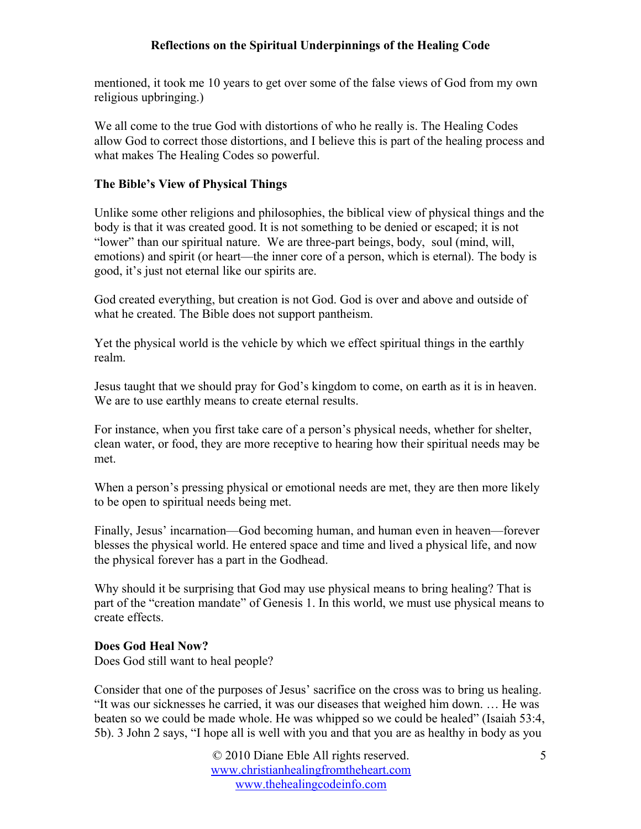mentioned, it took me 10 years to get over some of the false views of God from my own religious upbringing.)

We all come to the true God with distortions of who he really is. The Healing Codes allow God to correct those distortions, and I believe this is part of the healing process and what makes The Healing Codes so powerful.

# **The Bible's View of Physical Things**

Unlike some other religions and philosophies, the biblical view of physical things and the body is that it was created good. It is not something to be denied or escaped; it is not "lower" than our spiritual nature. We are three-part beings, body, soul (mind, will, emotions) and spirit (or heart—the inner core of a person, which is eternal). The body is good, it's just not eternal like our spirits are.

God created everything, but creation is not God. God is over and above and outside of what he created. The Bible does not support pantheism.

Yet the physical world is the vehicle by which we effect spiritual things in the earthly realm.

Jesus taught that we should pray for God's kingdom to come, on earth as it is in heaven. We are to use earthly means to create eternal results.

For instance, when you first take care of a person's physical needs, whether for shelter, clean water, or food, they are more receptive to hearing how their spiritual needs may be met.

When a person's pressing physical or emotional needs are met, they are then more likely to be open to spiritual needs being met.

Finally, Jesus' incarnation—God becoming human, and human even in heaven—forever blesses the physical world. He entered space and time and lived a physical life, and now the physical forever has a part in the Godhead.

Why should it be surprising that God may use physical means to bring healing? That is part of the "creation mandate" of Genesis 1. In this world, we must use physical means to create effects.

# **Does God Heal Now?**

Does God still want to heal people?

Consider that one of the purposes of Jesus' sacrifice on the cross was to bring us healing. "It was our sicknesses he carried, it was our diseases that weighed him down. … He was beaten so we could be made whole. He was whipped so we could be healed" (Isaiah 53:4, 5b). 3 John 2 says, "I hope all is well with you and that you are as healthy in body as you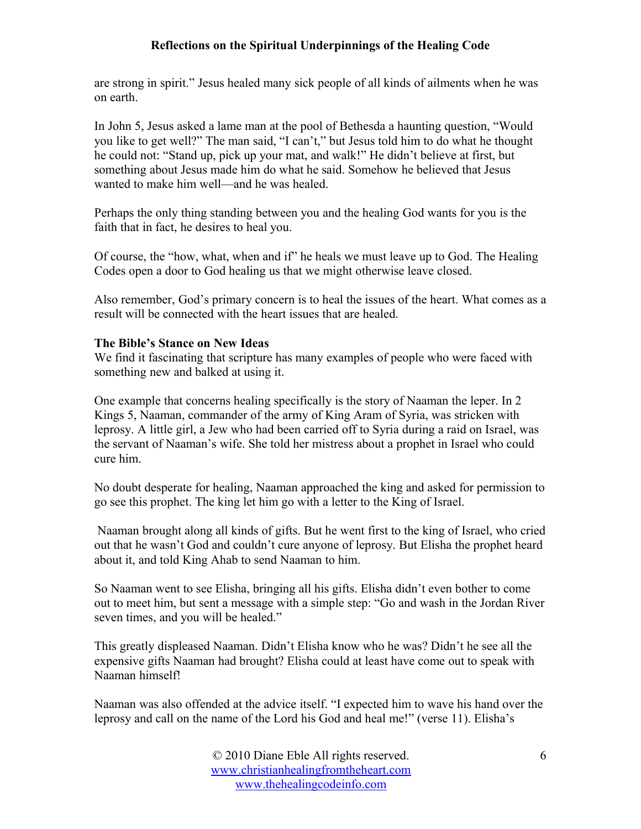are strong in spirit." Jesus healed many sick people of all kinds of ailments when he was on earth.

In John 5, Jesus asked a lame man at the pool of Bethesda a haunting question, "Would you like to get well?" The man said, "I can't," but Jesus told him to do what he thought he could not: "Stand up, pick up your mat, and walk!" He didn't believe at first, but something about Jesus made him do what he said. Somehow he believed that Jesus wanted to make him well—and he was healed.

Perhaps the only thing standing between you and the healing God wants for you is the faith that in fact, he desires to heal you.

Of course, the "how, what, when and if" he heals we must leave up to God. The Healing Codes open a door to God healing us that we might otherwise leave closed.

Also remember, God's primary concern is to heal the issues of the heart. What comes as a result will be connected with the heart issues that are healed.

#### **The Bible's Stance on New Ideas**

We find it fascinating that scripture has many examples of people who were faced with something new and balked at using it.

One example that concerns healing specifically is the story of Naaman the leper. In 2 Kings 5, Naaman, commander of the army of King Aram of Syria, was stricken with leprosy. A little girl, a Jew who had been carried off to Syria during a raid on Israel, was the servant of Naaman's wife. She told her mistress about a prophet in Israel who could cure him.

No doubt desperate for healing, Naaman approached the king and asked for permission to go see this prophet. The king let him go with a letter to the King of Israel.

 Naaman brought along all kinds of gifts. But he went first to the king of Israel, who cried out that he wasn't God and couldn't cure anyone of leprosy. But Elisha the prophet heard about it, and told King Ahab to send Naaman to him.

So Naaman went to see Elisha, bringing all his gifts. Elisha didn't even bother to come out to meet him, but sent a message with a simple step: "Go and wash in the Jordan River seven times, and you will be healed."

This greatly displeased Naaman. Didn't Elisha know who he was? Didn't he see all the expensive gifts Naaman had brought? Elisha could at least have come out to speak with Naaman himself!

Naaman was also offended at the advice itself. "I expected him to wave his hand over the leprosy and call on the name of the Lord his God and heal me!" (verse 11). Elisha's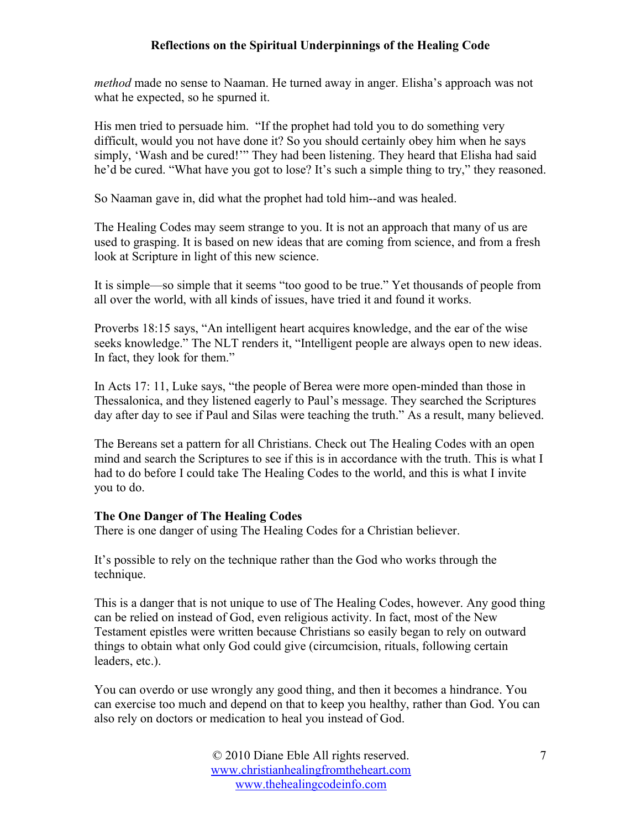*method* made no sense to Naaman. He turned away in anger. Elisha's approach was not what he expected, so he spurned it.

His men tried to persuade him. "If the prophet had told you to do something very difficult, would you not have done it? So you should certainly obey him when he says simply, 'Wash and be cured!'" They had been listening. They heard that Elisha had said he'd be cured. "What have you got to lose? It's such a simple thing to try," they reasoned.

So Naaman gave in, did what the prophet had told him--and was healed.

The Healing Codes may seem strange to you. It is not an approach that many of us are used to grasping. It is based on new ideas that are coming from science, and from a fresh look at Scripture in light of this new science.

It is simple—so simple that it seems "too good to be true." Yet thousands of people from all over the world, with all kinds of issues, have tried it and found it works.

Proverbs 18:15 says, "An intelligent heart acquires knowledge, and the ear of the wise seeks knowledge." The NLT renders it, "Intelligent people are always open to new ideas. In fact, they look for them."

In Acts 17: 11, Luke says, "the people of Berea were more open-minded than those in Thessalonica, and they listened eagerly to Paul's message. They searched the Scriptures day after day to see if Paul and Silas were teaching the truth." As a result, many believed.

The Bereans set a pattern for all Christians. Check out The Healing Codes with an open mind and search the Scriptures to see if this is in accordance with the truth. This is what I had to do before I could take The Healing Codes to the world, and this is what I invite you to do.

## **The One Danger of The Healing Codes**

There is one danger of using The Healing Codes for a Christian believer.

It's possible to rely on the technique rather than the God who works through the technique.

This is a danger that is not unique to use of The Healing Codes, however. Any good thing can be relied on instead of God, even religious activity. In fact, most of the New Testament epistles were written because Christians so easily began to rely on outward things to obtain what only God could give (circumcision, rituals, following certain leaders, etc.).

You can overdo or use wrongly any good thing, and then it becomes a hindrance. You can exercise too much and depend on that to keep you healthy, rather than God. You can also rely on doctors or medication to heal you instead of God.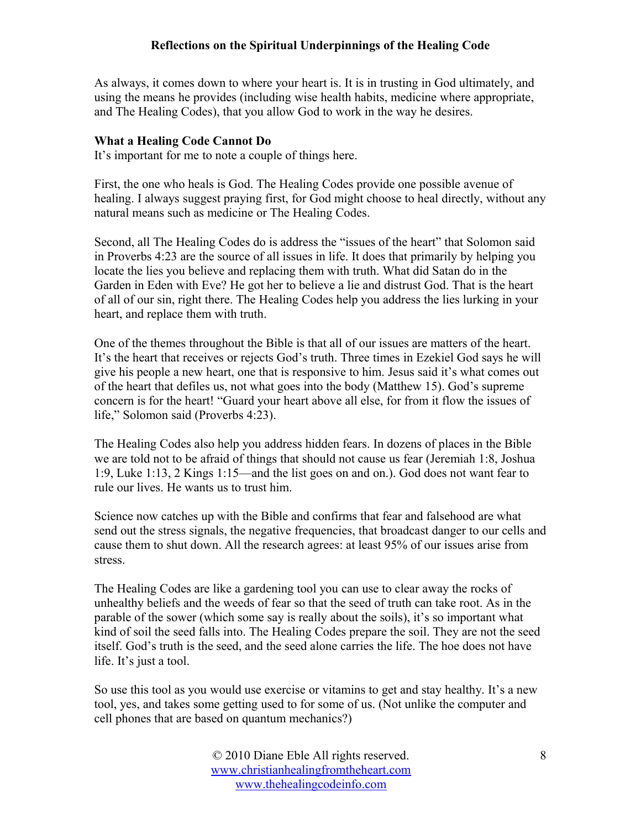As always, it comes down to where your heart is. It is in trusting in God ultimately, and using the means he provides (including wise health habits, medicine where appropriate, and The Healing Codes), that you allow God to work in the way he desires.

# **What a Healing Code Cannot Do**

It's important for me to note a couple of things here.

First, the one who heals is God. The Healing Codes provide one possible avenue of healing. I always suggest praying first, for God might choose to heal directly, without any natural means such as medicine or The Healing Codes.

Second, all The Healing Codes do is address the "issues of the heart" that Solomon said in Proverbs 4:23 are the source of all issues in life. It does that primarily by helping you locate the lies you believe and replacing them with truth. What did Satan do in the Garden in Eden with Eve? He got her to believe a lie and distrust God. That is the heart of all of our sin, right there. The Healing Codes help you address the lies lurking in your heart, and replace them with truth.

One of the themes throughout the Bible is that all of our issues are matters of the heart. It's the heart that receives or rejects God's truth. Three times in Ezekiel God says he will give his people a new heart, one that is responsive to him. Jesus said it's what comes out of the heart that defiles us, not what goes into the body (Matthew 15). God's supreme concern is for the heart! "Guard your heart above all else, for from it flow the issues of life," Solomon said (Proverbs 4:23).

The Healing Codes also help you address hidden fears. In dozens of places in the Bible we are told not to be afraid of things that should not cause us fear (Jeremiah 1:8, Joshua 1:9, Luke 1:13, 2 Kings 1:15—and the list goes on and on.). God does not want fear to rule our lives. He wants us to trust him.

Science now catches up with the Bible and confirms that fear and falsehood are what send out the stress signals, the negative frequencies, that broadcast danger to our cells and cause them to shut down. All the research agrees: at least 95% of our issues arise from stress.

The Healing Codes are like a gardening tool you can use to clear away the rocks of unhealthy beliefs and the weeds of fear so that the seed of truth can take root. As in the parable of the sower (which some say is really about the soils), it's so important what kind of soil the seed falls into. The Healing Codes prepare the soil. They are not the seed itself. God's truth is the seed, and the seed alone carries the life. The hoe does not have life. It's just a tool.

So use this tool as you would use exercise or vitamins to get and stay healthy. It's a new tool, yes, and takes some getting used to for some of us. (Not unlike the computer and cell phones that are based on quantum mechanics?)